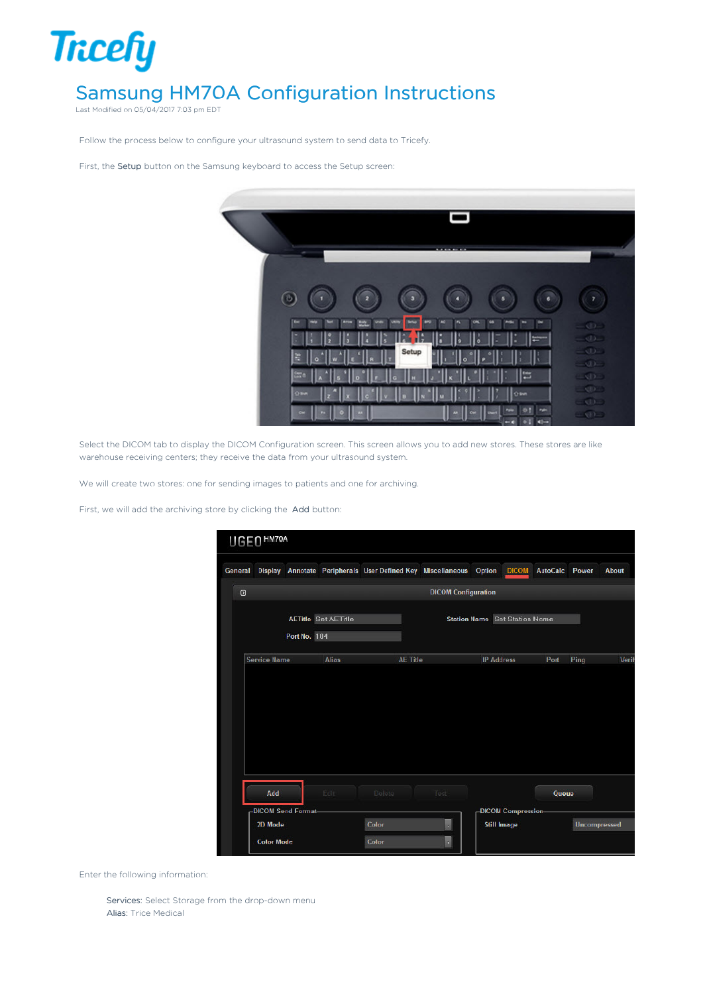

Last Modified on 05/04/2017 7:03 pm EDT

Follow the process below to configure your ultrasound system to send data to Tricefy.

First, the Setup button on the Samsung keyboard to access the Setup screen:



Select the DICOM tab to display the DICOM Configuration screen. This screen allows you to add new stores. These stores are like warehouse receiving centers; they receive the data from your ultrasound system.

We will create two stores: one for sending images to patients and one for archiving.

First, we will add the archiving store by clicking the Add button:

| UGEO <sup>HM70A</sup>     |                                                                    |                 |                            |                                      |                     |          |                     |              |
|---------------------------|--------------------------------------------------------------------|-----------------|----------------------------|--------------------------------------|---------------------|----------|---------------------|--------------|
| General                   | Display Annotate Peripherals User Defined Key Miscellaneous Option |                 |                            |                                      | <b>DICOM</b>        | AutoCalc | Power               | <b>About</b> |
| $\circ$                   |                                                                    |                 | <b>DICOM Configuration</b> |                                      |                     |          |                     |              |
|                           | <b>AETitle Set AETitle</b>                                         |                 |                            | <b>Station Name</b> Set Station Name |                     |          |                     |              |
|                           | Port No. 104                                                       |                 |                            |                                      |                     |          |                     |              |
| <b>Service Name</b>       | <b>Alias</b>                                                       | <b>AE Title</b> |                            | <b>IP Address</b>                    |                     | Port     | Ping                | Verif        |
|                           |                                                                    |                 |                            |                                      |                     |          |                     |              |
|                           |                                                                    |                 |                            |                                      |                     |          |                     |              |
|                           |                                                                    |                 |                            |                                      |                     |          |                     |              |
|                           |                                                                    |                 |                            |                                      |                     |          |                     |              |
|                           |                                                                    |                 |                            |                                      |                     |          |                     |              |
| Add                       | Edit                                                               | Delete          | Test                       |                                      |                     | Queue    |                     |              |
| <b>DICOM Send Format-</b> |                                                                    |                 |                            |                                      | -DICOM Compression- |          |                     |              |
| 2D Mode                   |                                                                    | Color           | Ţ                          | <b>Still Image</b>                   |                     |          | <b>Uncompressed</b> |              |
| <b>Color Mode</b>         |                                                                    | Color           | $\mathbf{r}$               |                                      |                     |          |                     |              |

Enter the following information:

Services: Select Storage from the drop-down menu Alias: Trice Medical